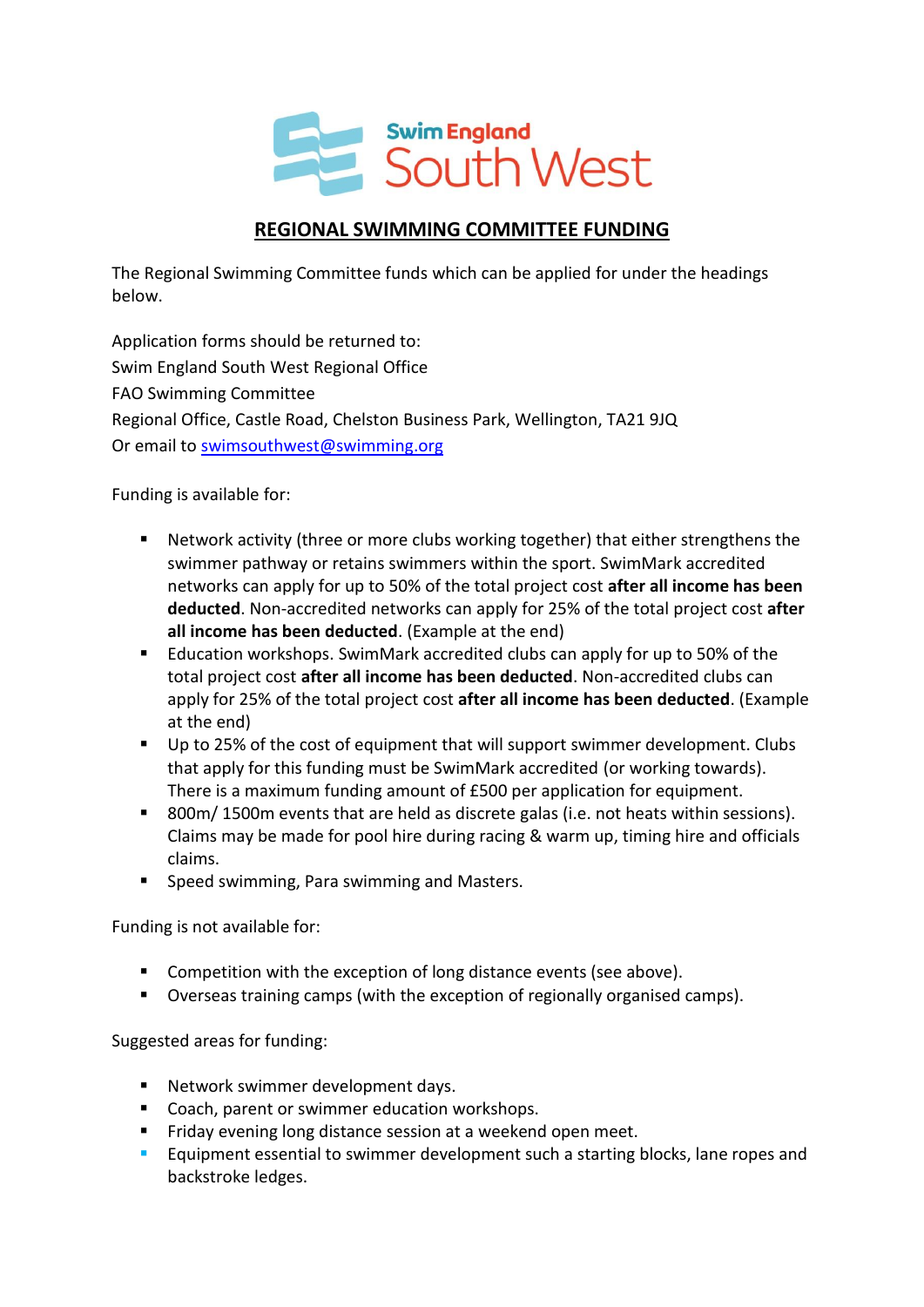

## **REGIONAL SWIMMING COMMITTEE FUNDING**

The Regional Swimming Committee funds which can be applied for under the headings below.

Application forms should be returned to: Swim England South West Regional Office FAO Swimming Committee Regional Office, Castle Road, Chelston Business Park, Wellington, TA21 9JQ Or email to [swimsouthwest@swimming.org](mailto:swimsouthwest@swimming.org)

Funding is available for:

- Network activity (three or more clubs working together) that either strengthens the swimmer pathway or retains swimmers within the sport. SwimMark accredited networks can apply for up to 50% of the total project cost **after all income has been deducted**. Non-accredited networks can apply for 25% of the total project cost **after all income has been deducted**. (Example at the end)
- **Education workshops. SwimMark accredited clubs can apply for up to 50% of the** total project cost **after all income has been deducted**. Non-accredited clubs can apply for 25% of the total project cost **after all income has been deducted**. (Example at the end)
- Up to 25% of the cost of equipment that will support swimmer development. Clubs that apply for this funding must be SwimMark accredited (or working towards). There is a maximum funding amount of £500 per application for equipment.
- 800m/1500m events that are held as discrete galas (i.e. not heats within sessions). Claims may be made for pool hire during racing & warm up, timing hire and officials claims.
- **Speed swimming, Para swimming and Masters.**

Funding is not available for:

- **Competition with the exception of long distance events (see above).**
- Overseas training camps (with the exception of regionally organised camps).

Suggested areas for funding:

- **Network swimmer development days.**
- Coach, parent or swimmer education workshops.
- Friday evening long distance session at a weekend open meet.
- **Equipment essential to swimmer development such a starting blocks, lane ropes and** backstroke ledges.